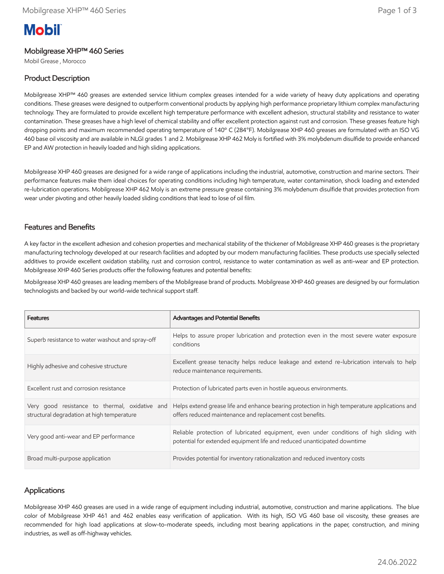# **Mobil**

### Mobilgrease XHP™ 460 Series

Mobil Grease , Morocco

# Product Description

Mobilgrease XHP™ 460 greases are extended service lithium complex greases intended for a wide variety of heavy duty applications and operating conditions. These greases were designed to outperform conventional products by applying high performance proprietary lithium complex manufacturing technology. They are formulated to provide excellent high temperature performance with excellent adhesion, structural stability and resistance to water contamination. These greases have a high level of chemical stability and offer excellent protection against rust and corrosion. These greases feature high dropping points and maximum recommended operating temperature of 140º C (284°F). Mobilgrease XHP 460 greases are formulated with an ISO VG 460 base oil viscosity and are available in NLGI grades 1 and 2. Mobilgrease XHP 462 Moly is fortified with 3% molybdenum disulfide to provide enhanced EP and AW protection in heavily loaded and high sliding applications.

Mobilgrease XHP 460 greases are designed for a wide range of applications including the industrial, automotive, construction and marine sectors. Their performance features make them ideal choices for operating conditions including high temperature, water contamination, shock loading and extended re-lubrication operations. Mobilgrease XHP 462 Moly is an extreme pressure grease containing 3% molybdenum disulfide that provides protection from wear under pivoting and other heavily loaded sliding conditions that lead to lose of oil film.

#### Features and Benefits

A key factor in the excellent adhesion and cohesion properties and mechanical stability of the thickener of Mobilgrease XHP 460 greases is the proprietary manufacturing technology developed at our research facilities and adopted by our modern manufacturing facilities. These products use specially selected additives to provide excellent oxidation stability, rust and corrosion control, resistance to water contamination as well as anti-wear and EP protection. Mobilgrease XHP 460 Series products offer the following features and potential benefits:

Mobilgrease XHP 460 greases are leading members of the Mobilgrease brand of products. Mobilgrease XHP 460 greases are designed by our formulation technologists and backed by our world-wide technical support staff.

| <b>Features</b>                                                                              | <b>Advantages and Potential Benefits</b>                                                                                                                            |
|----------------------------------------------------------------------------------------------|---------------------------------------------------------------------------------------------------------------------------------------------------------------------|
| Superb resistance to water washout and spray-off                                             | Helps to assure proper lubrication and protection even in the most severe water exposure<br>conditions                                                              |
| Highly adhesive and cohesive structure                                                       | Excellent grease tenacity helps reduce leakage and extend re-lubrication intervals to help<br>reduce maintenance requirements.                                      |
| Excellent rust and corrosion resistance                                                      | Protection of lubricated parts even in hostile agueous environments.                                                                                                |
| Very good resistance to thermal, oxidative and<br>structural degradation at high temperature | Helps extend grease life and enhance bearing protection in high temperature applications and<br>offers reduced maintenance and replacement cost benefits.           |
| Very good anti-wear and EP performance                                                       | Reliable protection of lubricated equipment, even under conditions of high sliding with<br>potential for extended equipment life and reduced unanticipated downtime |
| Broad multi-purpose application                                                              | Provides potential for inventory rationalization and reduced inventory costs                                                                                        |

#### **Applications**

Mobilgrease XHP 460 greases are used in a wide range of equipment including industrial, automotive, construction and marine applications. The blue color of Mobilgrease XHP 461 and 462 enables easy verification of application. With its high, ISO VG 460 base oil viscosity, these greases are recommended for high load applications at slow-to-moderate speeds, including most bearing applications in the paper, construction, and mining industries, as well as off-highway vehicles.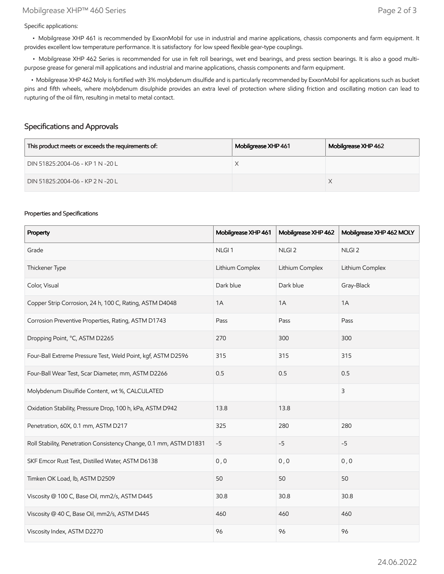Specific applications:

 • Mobilgrease XHP 461 is recommended by ExxonMobil for use in industrial and marine applications, chassis components and farm equipment. It provides excellent low temperature performance. It is satisfactory for low speed flexible gear-type couplings.

 • Mobilgrease XHP 462 Series is recommended for use in felt roll bearings, wet end bearings, and press section bearings. It is also a good multipurpose grease for general mill applications and industrial and marine applications, chassis components and farm equipment.

 • Mobilgrease XHP 462 Moly is fortified with 3% molybdenum disulfide and is particularly recommended by ExxonMobil for applications such as bucket pins and fifth wheels, where molybdenum disulphide provides an extra level of protection where sliding friction and oscillating motion can lead to rupturing of the oil film, resulting in metal to metal contact.

#### Specifications and Approvals

| This product meets or exceeds the requirements of: | Mobilgrease XHP 461 | Mobilgrease XHP 462 |
|----------------------------------------------------|---------------------|---------------------|
| DIN 51825:2004-06 - KP 1 N -20 L                   |                     |                     |
| DIN 51825:2004-06 - KP 2 N -20 L                   |                     |                     |

#### Properties and Specifications

| Property                                                           | Mobilgrease XHP 461 | Mobilgrease XHP 462 | Mobilgrease XHP 462 MOLY |
|--------------------------------------------------------------------|---------------------|---------------------|--------------------------|
| Grade                                                              | NLGI <sub>1</sub>   | NLGI <sub>2</sub>   | NLGI <sub>2</sub>        |
| Thickener Type                                                     | Lithium Complex     | Lithium Complex     | Lithium Complex          |
| Color, Visual                                                      | Dark blue           | Dark blue           | Gray-Black               |
| Copper Strip Corrosion, 24 h, 100 C, Rating, ASTM D4048            | 1A                  | 1A                  | 1A                       |
| Corrosion Preventive Properties, Rating, ASTM D1743                | Pass                | Pass                | Pass                     |
| Dropping Point, °C, ASTM D2265                                     | 270                 | 300                 | 300                      |
| Four-Ball Extreme Pressure Test, Weld Point, kgf, ASTM D2596       | 315                 | 315                 | 315                      |
| Four-Ball Wear Test, Scar Diameter, mm, ASTM D2266                 | 0.5                 | 0.5                 | 0.5                      |
| Molybdenum Disulfide Content, wt %, CALCULATED                     |                     |                     | 3                        |
| Oxidation Stability, Pressure Drop, 100 h, kPa, ASTM D942          | 13.8                | 13.8                |                          |
| Penetration, 60X, 0.1 mm, ASTM D217                                | 325                 | 280                 | 280                      |
| Roll Stability, Penetration Consistency Change, 0.1 mm, ASTM D1831 | $-5$                | $-5$                | $-5$                     |
| SKF Emcor Rust Test, Distilled Water, ASTM D6138                   | 0, 0                | 0, 0                | 0, 0                     |
| Timken OK Load, lb, ASTM D2509                                     | 50                  | 50                  | 50                       |
| Viscosity @ 100 C, Base Oil, mm2/s, ASTM D445                      | 30.8                | 30.8                | 30.8                     |
| Viscosity @ 40 C, Base Oil, mm2/s, ASTM D445                       | 460                 | 460                 | 460                      |
| Viscosity Index, ASTM D2270                                        | 96                  | 96                  | 96                       |